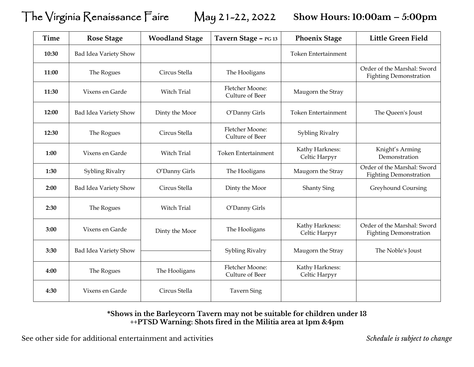## The Virginia Renaissance Faire May 21-22, 2022 **Show Hours: 10:00am – 5:00pm**

| <b>Time</b> | <b>Rose Stage</b>     | <b>Woodland Stage</b> | Tavern Stage - PG 13               | <b>Phoenix Stage</b>             | <b>Little Green Field</b>                                    |
|-------------|-----------------------|-----------------------|------------------------------------|----------------------------------|--------------------------------------------------------------|
| 10:30       | Bad Idea Variety Show |                       |                                    | <b>Token Entertainment</b>       |                                                              |
| 11:00       | The Rogues            | Circus Stella         | The Hooligans                      |                                  | Order of the Marshal: Sword<br><b>Fighting Demonstration</b> |
| 11:30       | Vixens en Garde       | Witch Trial           | Fletcher Moone:<br>Culture of Beer | Maugorn the Stray                |                                                              |
| 12:00       | Bad Idea Variety Show | Dinty the Moor        | O'Danny Girls                      | <b>Token Entertainment</b>       | The Queen's Joust                                            |
| 12:30       | The Rogues            | Circus Stella         | Fletcher Moone:<br>Culture of Beer | Sybling Rivalry                  |                                                              |
| 1:00        | Vixens en Garde       | Witch Trial           | <b>Token Entertainment</b>         | Kathy Harkness:<br>Celtic Harpyr | Knight's Arming<br>Demonstration                             |
| 1:30        | Sybling Rivalry       | O'Danny Girls         | The Hooligans                      | Maugorn the Stray                | Order of the Marshal: Sword<br><b>Fighting Demonstration</b> |
| 2:00        | Bad Idea Variety Show | Circus Stella         | Dinty the Moor                     | <b>Shanty Sing</b>               | Greyhound Coursing                                           |
| 2:30        | The Rogues            | Witch Trial           | O'Danny Girls                      |                                  |                                                              |
| 3:00        | Vixens en Garde       | Dinty the Moor        | The Hooligans                      | Kathy Harkness:<br>Celtic Harpyr | Order of the Marshal: Sword<br><b>Fighting Demonstration</b> |
| 3:30        | Bad Idea Variety Show |                       | Sybling Rivalry                    | Maugorn the Stray                | The Noble's Joust                                            |
| 4:00        | The Rogues            | The Hooligans         | Fletcher Moone:<br>Culture of Beer | Kathy Harkness:<br>Celtic Harpyr |                                                              |
| 4:30        | Vixens en Garde       | Circus Stella         | <b>Tavern Sing</b>                 |                                  |                                                              |

## **\*Shows in the Barleycorn Tavern may not be suitable for children under 13 ++PTSD Warning: Shots fired in the Militia area at 1pm &4pm**

See other side for additional entertainment and activities *Schedule is subject to change*